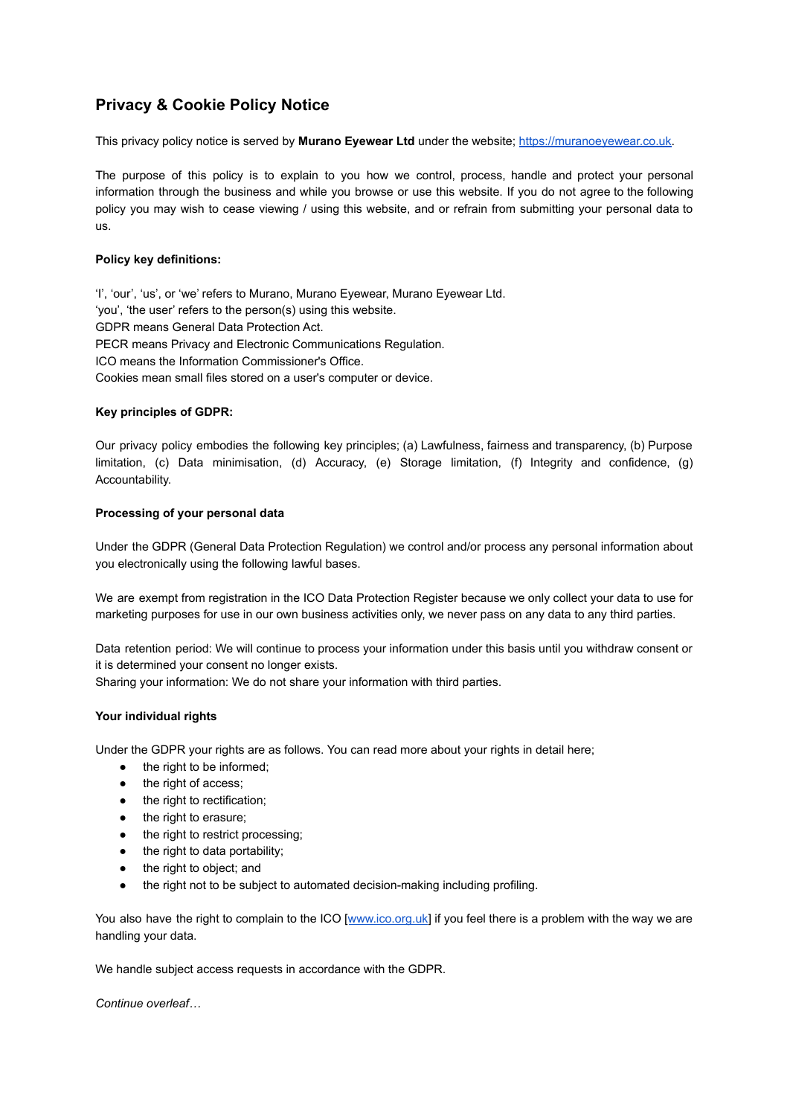# **Privacy & Cookie Policy Notice**

This privacy policy notice is served by **Murano Eyewear Ltd** under the website; [https://muranoeyewear.co.uk.](https://muranoeyewear.co.uk)

The purpose of this policy is to explain to you how we control, process, handle and protect your personal information through the business and while you browse or use this website. If you do not agree to the following policy you may wish to cease viewing / using this website, and or refrain from submitting your personal data to us.

## **Policy key definitions:**

'I', 'our', 'us', or 'we' refers to Murano, Murano Eyewear, Murano Eyewear Ltd. 'you', 'the user' refers to the person(s) using this website. GDPR means General Data Protection Act. PECR means Privacy and Electronic Communications Regulation. ICO means the Information Commissioner's Office. Cookies mean small files stored on a user's computer or device.

## **Key principles of GDPR:**

Our privacy policy embodies the following key principles; (a) Lawfulness, fairness and transparency, (b) Purpose limitation, (c) Data minimisation, (d) Accuracy, (e) Storage limitation, (f) Integrity and confidence, (g) Accountability.

## **Processing of your personal data**

Under the GDPR (General Data Protection Regulation) we control and/or process any personal information about you electronically using the following lawful bases.

We are exempt from registration in the ICO Data Protection Register because we only collect your data to use for marketing purposes for use in our own business activities only, we never pass on any data to any third parties.

Data retention period: We will continue to process your information under this basis until you withdraw consent or it is determined your consent no longer exists.

Sharing your information: We do not share your information with third parties.

# **Your individual rights**

Under the GDPR your rights are as follows. You can read more about your rights in detail here;

- the right to be informed;
- the right of access;
- the right to rectification;
- the right to erasure;
- the right to restrict processing;
- the right to data portability;
- the right to object; and
- the right not to be subject to automated decision-making including profiling.

You also have the right to complain to the ICO [[www.ico.org.uk](http://www.ico.org.uk)] if you feel there is a problem with the way we are handling your data.

We handle subject access requests in accordance with the GDPR.

*Continue overleaf…*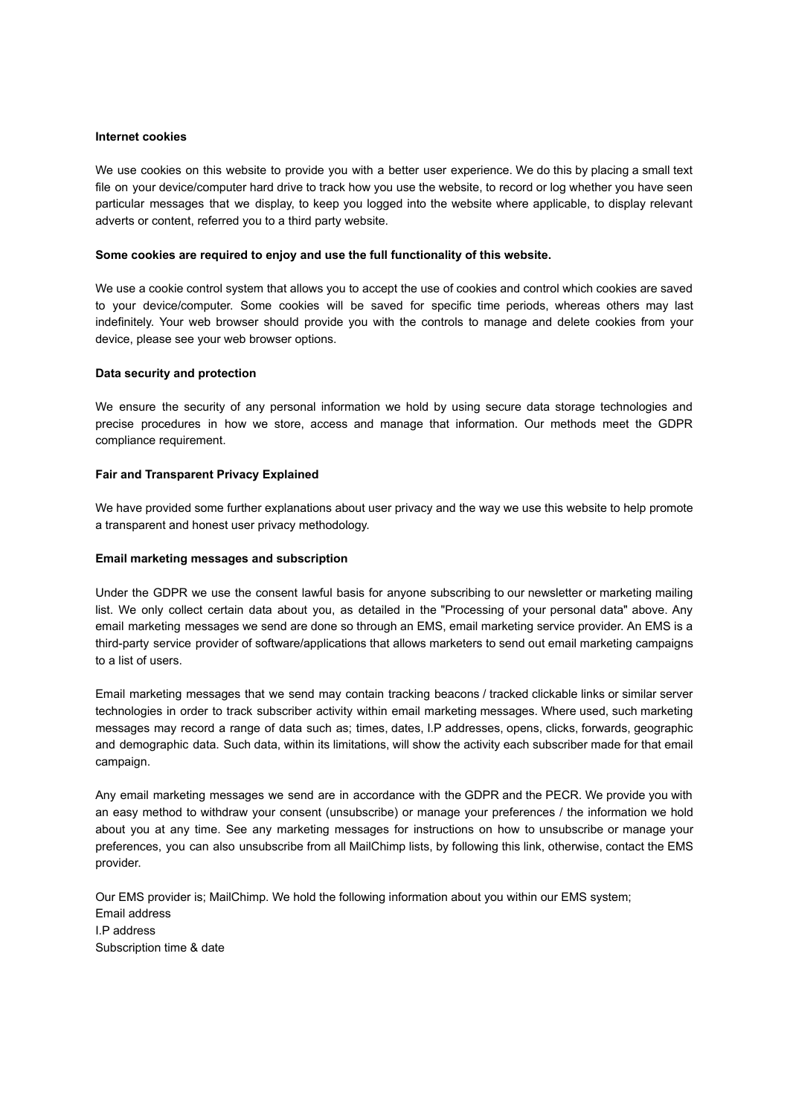#### **Internet cookies**

We use cookies on this website to provide you with a better user experience. We do this by placing a small text file on your device/computer hard drive to track how you use the website, to record or log whether you have seen particular messages that we display, to keep you logged into the website where applicable, to display relevant adverts or content, referred you to a third party website.

#### **Some cookies are required to enjoy and use the full functionality of this website.**

We use a cookie control system that allows you to accept the use of cookies and control which cookies are saved to your device/computer. Some cookies will be saved for specific time periods, whereas others may last indefinitely. Your web browser should provide you with the controls to manage and delete cookies from your device, please see your web browser options.

#### **Data security and protection**

We ensure the security of any personal information we hold by using secure data storage technologies and precise procedures in how we store, access and manage that information. Our methods meet the GDPR compliance requirement.

#### **Fair and Transparent Privacy Explained**

We have provided some further explanations about user privacy and the way we use this website to help promote a transparent and honest user privacy methodology.

#### **Email marketing messages and subscription**

Under the GDPR we use the consent lawful basis for anyone subscribing to our newsletter or marketing mailing list. We only collect certain data about you, as detailed in the "Processing of your personal data" above. Any email marketing messages we send are done so through an EMS, email marketing service provider. An EMS is a third-party service provider of software/applications that allows marketers to send out email marketing campaigns to a list of users.

Email marketing messages that we send may contain tracking beacons / tracked clickable links or similar server technologies in order to track subscriber activity within email marketing messages. Where used, such marketing messages may record a range of data such as; times, dates, I.P addresses, opens, clicks, forwards, geographic and demographic data. Such data, within its limitations, will show the activity each subscriber made for that email campaign.

Any email marketing messages we send are in accordance with the GDPR and the PECR. We provide you with an easy method to withdraw your consent (unsubscribe) or manage your preferences / the information we hold about you at any time. See any marketing messages for instructions on how to unsubscribe or manage your preferences, you can also unsubscribe from all MailChimp lists, by following this link, otherwise, contact the EMS provider.

Our EMS provider is; MailChimp. We hold the following information about you within our EMS system; Email address I.P address Subscription time & date